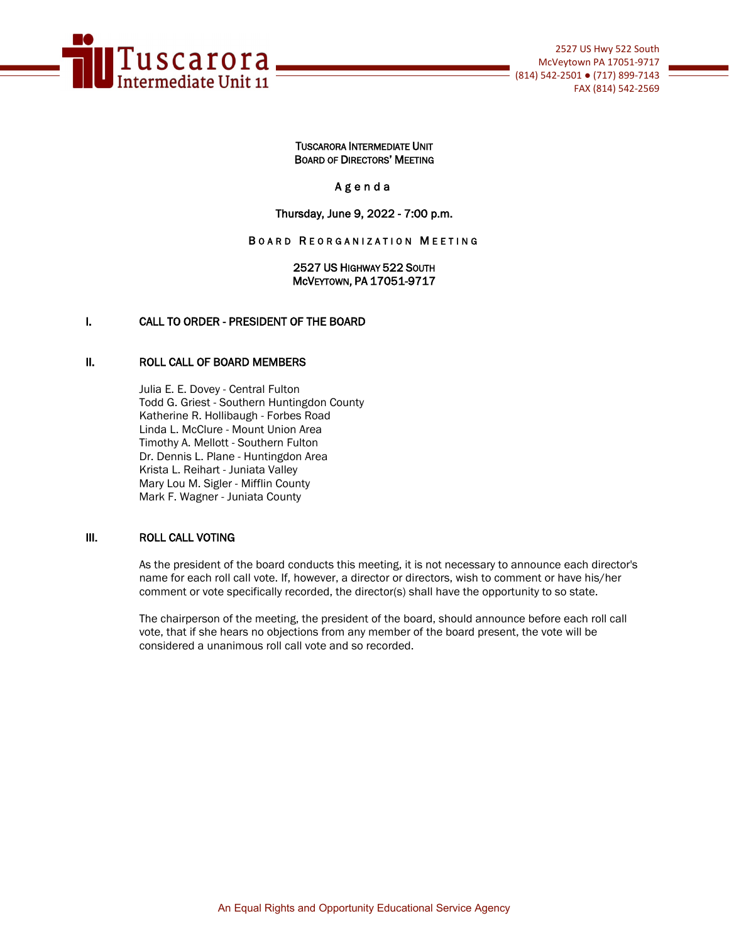

## TUSCARORA INTERMEDIATE UNIT BOARD OF DIRECTORS' MEETING

## Agenda

## Thursday, June 9, 2022 - 7:00 p.m.

## BOARD REORGANIZATION MEETING

2527 US HIGHWAY 522 SOUTH McVEYTOWN, PA 17051-9717

## I. CALL TO ORDER - PRESIDENT OF THE BOARD

### II. ROLL CALL OF BOARD MEMBERS

Julia E. E. Dovey - Central Fulton Todd G. Griest - Southern Huntingdon County Katherine R. Hollibaugh - Forbes Road Linda L. McClure - Mount Union Area Timothy A. Mellott - Southern Fulton Dr. Dennis L. Plane - Huntingdon Area Krista L. Reihart - Juniata Valley Mary Lou M. Sigler - Mifflin County Mark F. Wagner - Juniata County

## III. ROLL CALL VOTING

As the president of the board conducts this meeting, it is not necessary to announce each director's name for each roll call vote. If, however, a director or directors, wish to comment or have his/her comment or vote specifically recorded, the director(s) shall have the opportunity to so state.

The chairperson of the meeting, the president of the board, should announce before each roll call vote, that if she hears no objections from any member of the board present, the vote will be considered a unanimous roll call vote and so recorded.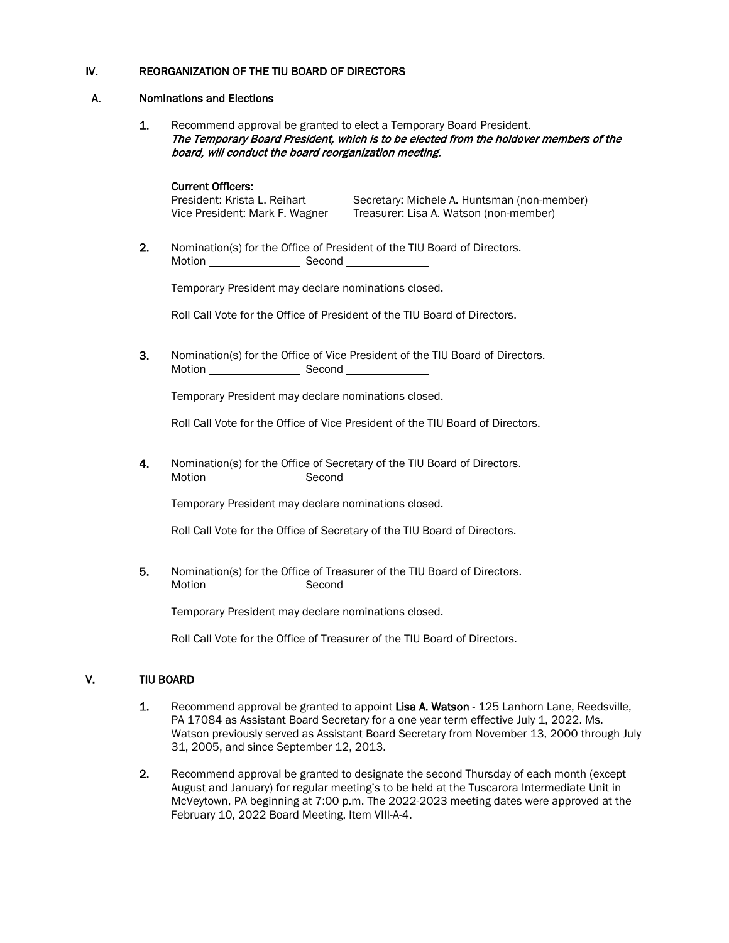## IV. REORGANIZATION OF THE TIU BOARD OF DIRECTORS

## A. Nominations and Elections

1. Recommend approval be granted to elect a Temporary Board President. The Temporary Board President, which is to be elected from the holdover members of the board, will conduct the board reorganization meeting.

**Current Officers:**<br>President: Krista L. Reihart Secretary: Michele A. Huntsman (non-member) Vice President: Mark F. Wagner Treasurer: Lisa A. Watson (non-member)

2. Nomination(s) for the Office of President of the TIU Board of Directors. Motion Second

Temporary President may declare nominations closed.

Roll Call Vote for the Office of President of the TIU Board of Directors.

3. Nomination(s) for the Office of Vice President of the TIU Board of Directors. Motion Second

Temporary President may declare nominations closed.

Roll Call Vote for the Office of Vice President of the TIU Board of Directors.

4. Nomination(s) for the Office of Secretary of the TIU Board of Directors. Motion Second Second

Temporary President may declare nominations closed.

Roll Call Vote for the Office of Secretary of the TIU Board of Directors.

5. Nomination(s) for the Office of Treasurer of the TIU Board of Directors. Motion **Notion** Second **Notion** 

Temporary President may declare nominations closed.

Roll Call Vote for the Office of Treasurer of the TIU Board of Directors.

## V. TIU BOARD

- 1. Recommend approval be granted to appoint Lisa A. Watson 125 Lanhorn Lane, Reedsville, PA 17084 as Assistant Board Secretary for a one year term effective July 1, 2022. Ms. Watson previously served as Assistant Board Secretary from November 13, 2000 through July 31, 2005, and since September 12, 2013.
- 2. Recommend approval be granted to designate the second Thursday of each month (except August and January) for regular meeting's to be held at the Tuscarora Intermediate Unit in McVeytown, PA beginning at 7:00 p.m. The 2022-2023 meeting dates were approved at the February 10, 2022 Board Meeting, Item VIII-A-4.